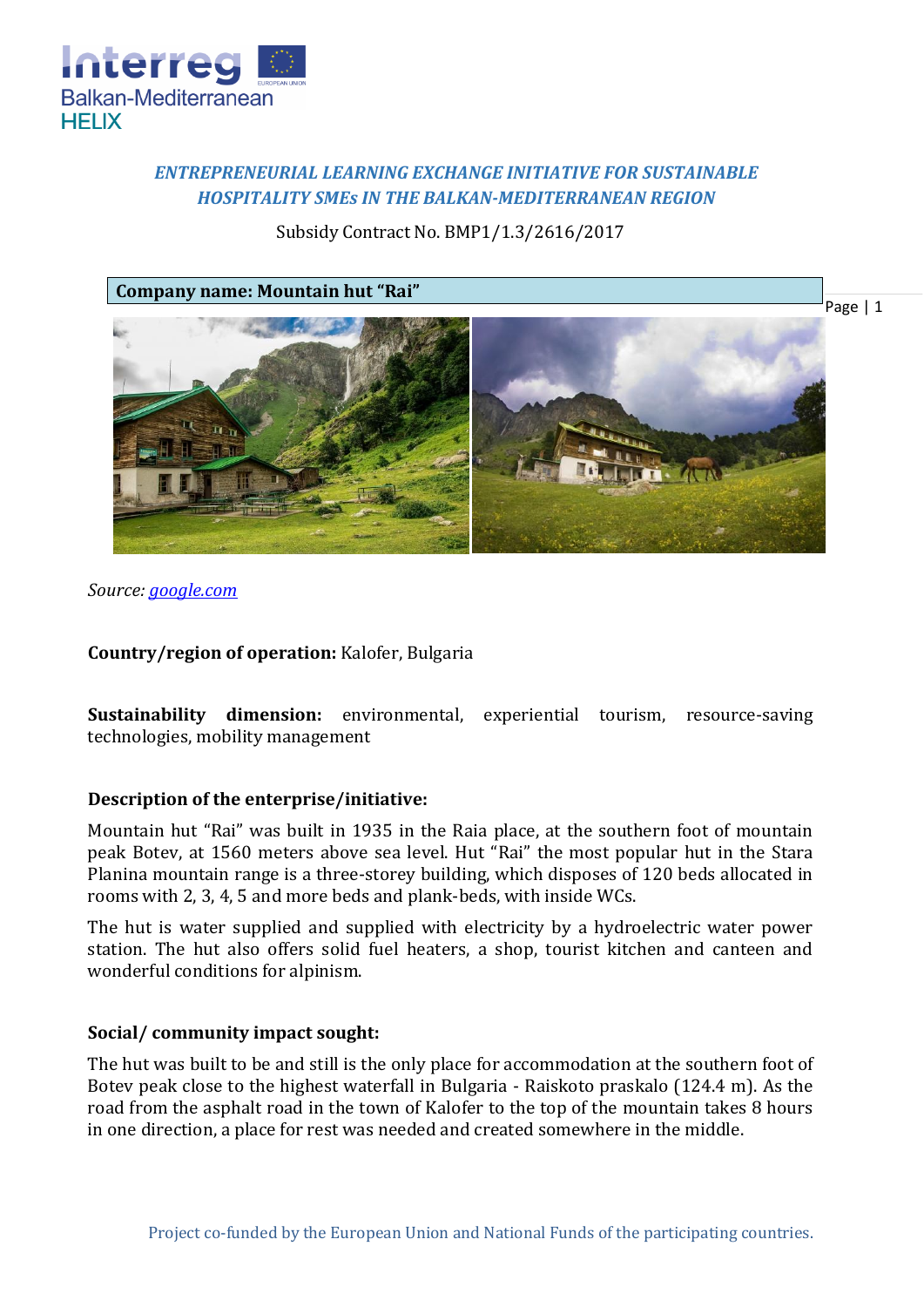

# *ENTREPRENEURIAL LEARNING EXCHANGE INITIATIVE FOR SUSTAINABLE HOSPITALITY SMEs IN THE BALKAN-MEDITERRANEAN REGION*

## Subsidy Contract No. BMP1/1.3/2616/2017



*Source: [google.com](https://www.google.bg/search?biw=1440&bih=745&tbm=isch&sa=1&ei=iOiLWr-PEqSagAaOy5vwAw&q=%D1%80%D0%B0%D0%B9%D1%81%D0%BA%D0%BE%D1%82%D0%BE+%D0%BF%D1%80%D1%8A%D1%81%D0%BA%D0%B0%D0%BB%D0%BE&oq=%D1%80%D0%B0%D0%B9%D1%81%D0%BA%D0%BE%D1%82%D0%BE+&gs_l=psy-ab.3.0.0l2j0i30k1l2.66461.69399.0.70279.9.6.0.3.3.0.102.563.5j1.6.0....0...1c.1.64.psy-ab..0.9.576....0.qL69wMMtLG8#imgrc=F3w2SR0lf2JCcM)* 

**Country/region of operation:** Kalofer, Bulgaria

**Sustainability dimension:** environmental, experiential tourism, resource-saving technologies, mobility management

## **Description of the enterprise/initiative:**

Mountain hut "Rai" was built in 1935 in the Raia place, at the southern foot of mountain peak Botev, at 1560 meters above sea level. Hut "Rai" the most popular hut in the Stara Planina mountain range is a three-storey building, which disposes of 120 beds allocated in rooms with 2, 3, 4, 5 and more beds and plank-beds, with inside WCs.

The hut is water supplied and supplied with electricity by a hydroelectric water power station. The hut also offers solid fuel heaters, a shop, tourist kitchen and canteen and wonderful conditions for alpinism.

## **Social/ community impact sought:**

The hut was built to be and still is the only place for accommodation at the southern foot of Botev peak close to the highest waterfall in Bulgaria - Raiskoto praskalo (124.4 m). As the road from the asphalt road in the town of Kalofer to the top of the mountain takes 8 hours in one direction, a place for rest was needed and created somewhere in the middle.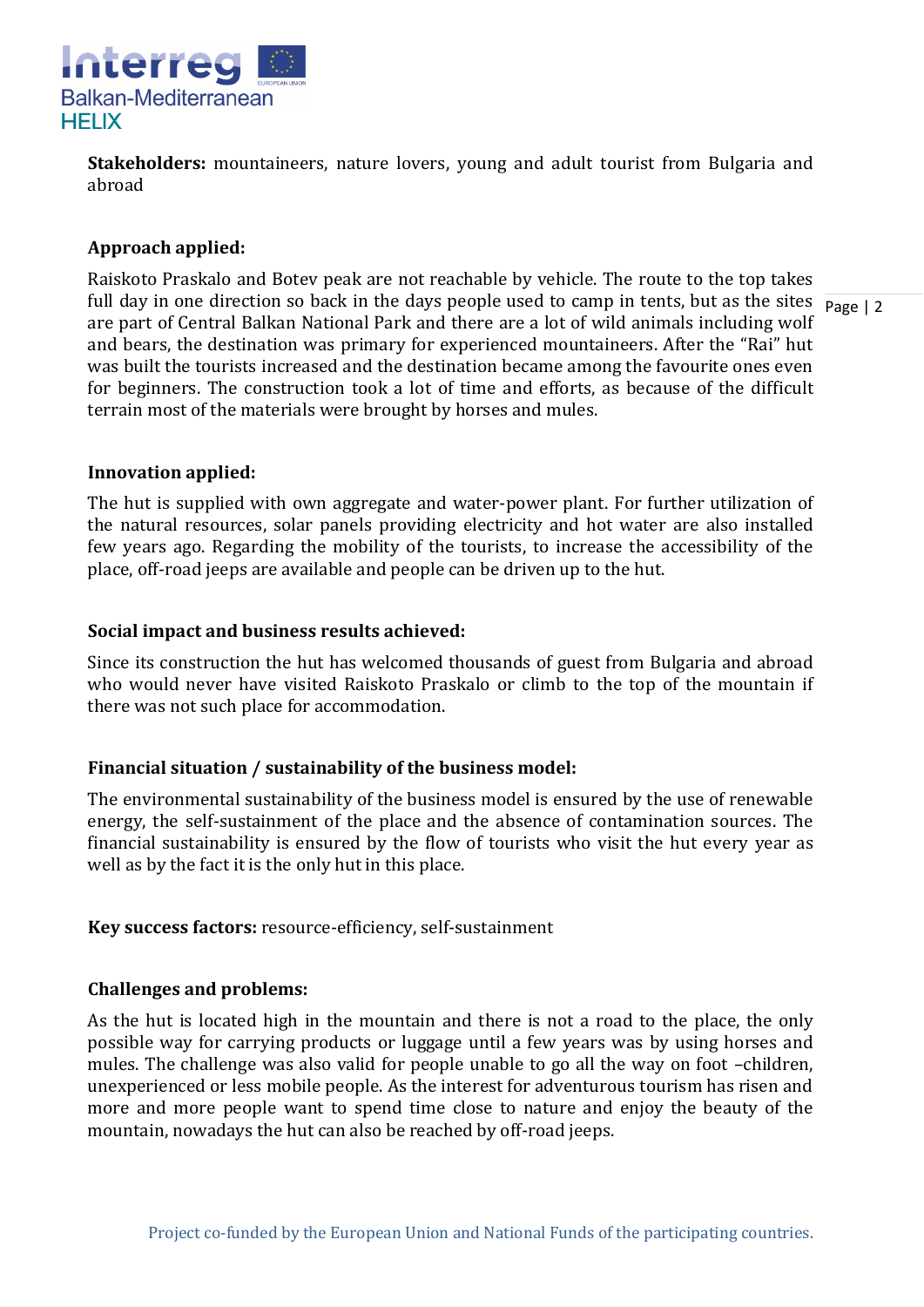

**Stakeholders:** mountaineers, nature lovers, young and adult tourist from Bulgaria and abroad

### **Approach applied:**

full day in one direction so back in the days people used to camp in tents, but as the sites  $\frac{1}{\text{Page } 12}$ Raiskoto Praskalo and Botev peak are not reachable by vehicle. The route to the top takes are part of Central Balkan National Park and there are a lot of wild animals including wolf and bears, the destination was primary for experienced mountaineers. After the "Rai" hut was built the tourists increased and the destination became among the favourite ones even for beginners. The construction took a lot of time and efforts, as because of the difficult terrain most of the materials were brought by horses and mules.

#### **Innovation applied:**

The hut is supplied with own aggregate and water-power plant. For further utilization of the natural resources, solar panels providing electricity and hot water are also installed few years ago. Regarding the mobility of the tourists, to increase the accessibility of the place, off-road jeeps are available and people can be driven up to the hut.

### **Social impact and business results achieved:**

Since its construction the hut has welcomed thousands of guest from Bulgaria and abroad who would never have visited Raiskoto Praskalo or climb to the top of the mountain if there was not such place for accommodation.

## **Financial situation / sustainability of the business model:**

The environmental sustainability of the business model is ensured by the use of renewable energy, the self-sustainment of the place and the absence of contamination sources. The financial sustainability is ensured by the flow of tourists who visit the hut every year as well as by the fact it is the only hut in this place.

**Key success factors:** resource-efficiency, self-sustainment

#### **Challenges and problems:**

As the hut is located high in the mountain and there is not a road to the place, the only possible way for carrying products or luggage until a few years was by using horses and mules. The challenge was also valid for people unable to go all the way on foot –children, unexperienced or less mobile people. As the interest for adventurous tourism has risen and more and more people want to spend time close to nature and enjoy the beauty of the mountain, nowadays the hut can also be reached by off-road jeeps.